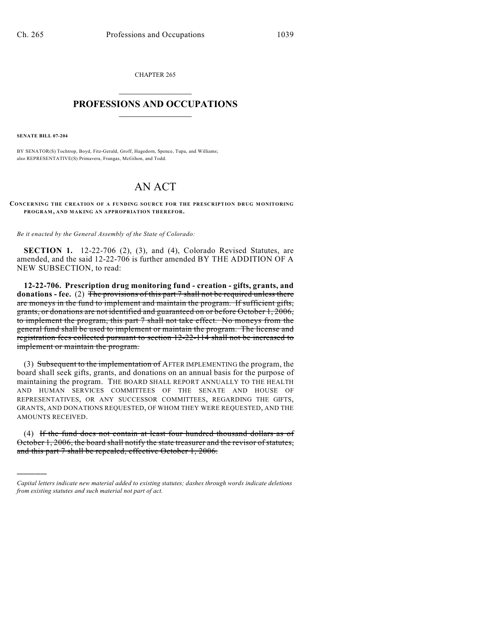CHAPTER 265  $\overline{\phantom{a}}$  . The set of the set of the set of the set of the set of the set of the set of the set of the set of the set of the set of the set of the set of the set of the set of the set of the set of the set of the set o

## **PROFESSIONS AND OCCUPATIONS**  $\frac{1}{2}$  ,  $\frac{1}{2}$  ,  $\frac{1}{2}$  ,  $\frac{1}{2}$  ,  $\frac{1}{2}$  ,  $\frac{1}{2}$

**SENATE BILL 07-204**

)))))

BY SENATOR(S) Tochtrop, Boyd, Fitz-Gerald, Groff, Hagedorn, Spence, Tupa, and Williams; also REPRESENTATIVE(S) Primavera, Frangas, McGihon, and Todd.

## AN ACT

**CONCERNING THE CREATION OF A FUNDING SOURCE FOR THE PRESCRIPTION DRUG MONITORING PROGRAM, AND MAKING AN APPROPRIATION THEREFOR.**

*Be it enacted by the General Assembly of the State of Colorado:*

**SECTION 1.** 12-22-706 (2), (3), and (4), Colorado Revised Statutes, are amended, and the said 12-22-706 is further amended BY THE ADDITION OF A NEW SUBSECTION, to read:

**12-22-706. Prescription drug monitoring fund - creation - gifts, grants, and donations - fee.** (2) The provisions of this part 7 shall not be required unless there are moneys in the fund to implement and maintain the program. If sufficient gifts, grants, or donations are not identified and guaranteed on or before October 1, 2006, to implement the program, this part 7 shall not take effect. No moneys from the general fund shall be used to implement or maintain the program. The license and registration fees collected pursuant to section 12-22-114 shall not be increased to implement or maintain the program.

(3) Subsequent to the implementation of AFTER IMPLEMENTING the program, the board shall seek gifts, grants, and donations on an annual basis for the purpose of maintaining the program. THE BOARD SHALL REPORT ANNUALLY TO THE HEALTH AND HUMAN SERVICES COMMITTEES OF THE SENATE AND HOUSE OF REPRESENTATIVES, OR ANY SUCCESSOR COMMITTEES, REGARDING THE GIFTS, GRANTS, AND DONATIONS REQUESTED, OF WHOM THEY WERE REQUESTED, AND THE AMOUNTS RECEIVED.

(4) If the fund does not contain at least four hundred thousand dollars as of October 1, 2006, the board shall notify the state treasurer and the revisor of statutes, and this part 7 shall be repealed, effective October 1, 2006.

*Capital letters indicate new material added to existing statutes; dashes through words indicate deletions from existing statutes and such material not part of act.*